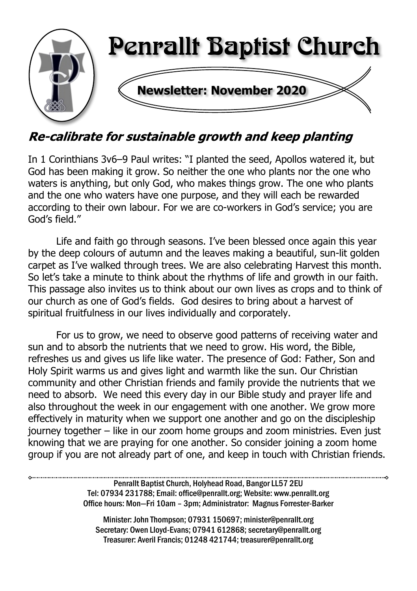

### Re-calibrate for sustainable growth and keep planting

In 1 Corinthians 3v6–9 Paul writes: "I planted the seed, Apollos watered it, but God has been making it grow. So neither the one who plants nor the one who waters is anything, but only God, who makes things grow. The one who plants and the one who waters have one purpose, and they will each be rewarded according to their own labour. For we are co-workers in God's service; you are God's field."

Life and faith go through seasons. I've been blessed once again this year by the deep colours of autumn and the leaves making a beautiful, sun-lit golden carpet as I've walked through trees. We are also celebrating Harvest this month. So let's take a minute to think about the rhythms of life and growth in our faith. This passage also invites us to think about our own lives as crops and to think of our church as one of God's fields. God desires to bring about a harvest of spiritual fruitfulness in our lives individually and corporately.

For us to grow, we need to observe good patterns of receiving water and sun and to absorb the nutrients that we need to grow. His word, the Bible, refreshes us and gives us life like water. The presence of God: Father, Son and Holy Spirit warms us and gives light and warmth like the sun. Our Christian community and other Christian friends and family provide the nutrients that we need to absorb. We need this every day in our Bible study and prayer life and also throughout the week in our engagement with one another. We grow more effectively in maturity when we support one another and go on the discipleship journey together – like in our zoom home groups and zoom ministries. Even just knowing that we are praying for one another. So consider joining a zoom home group if you are not already part of one, and keep in touch with Christian friends.

> Penrallt Baptist Church, Holyhead Road, Bangor LL57 2EU Tel: 07934 231788; Email: office@penrallt.org; Website: www.penrallt.org Office hours: Mon—Fri 10am – 3pm; Administrator: Magnus Forrester-Barker

Minister: John Thompson; 07931 150697; minister@penrallt.org Secretary: Owen Lloyd-Evans; 07941 612868; secretary@penrallt.org Treasurer: Averil Francis; 01248 421744; treasurer@penrallt.org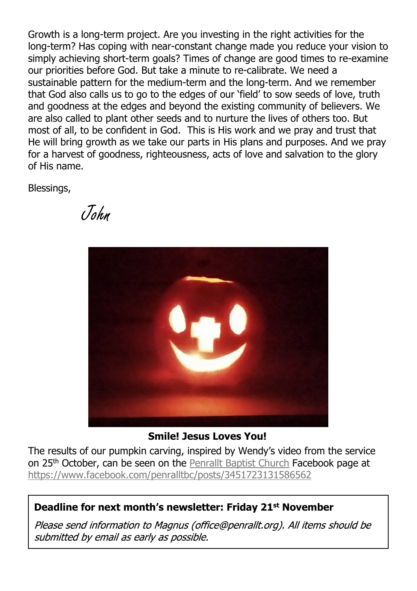Growth is a long-term project. Are you investing in the right activities for the long-term? Has coping with near-constant change made you reduce your vision to simply achieving short-term goals? Times of change are good times to re-examine our priorities before God. But take a minute to re-calibrate. We need a sustainable pattern for the medium-term and the long-term. And we remember that God also calls us to go to the edges of our 'field' to sow seeds of love, truth and goodness at the edges and beyond the existing community of believers. We are also called to plant other seeds and to nurture the lives of others too. But most of all, to be confident in God. This is His work and we pray and trust that He will bring growth as we take our parts in His plans and purposes. And we pray for a harvest of goodness, righteousness, acts of love and salvation to the glory of His name.

Blessings,

John



**Smile! Jesus Loves You!**

The results of our pumpkin carving, inspired by Wendy's video from the service on 25<sup>th</sup> October, can be seen on the [Penrallt Baptist Church](https://www.facebook.com/penralltbc/) Facebook page at <https://www.facebook.com/penralltbc/posts/3451723131586562>

#### **Deadline for next month's newsletter: Friday 21st November**

Please send information to Magnus (office@penrallt.org). All items should be submitted by email as early as possible.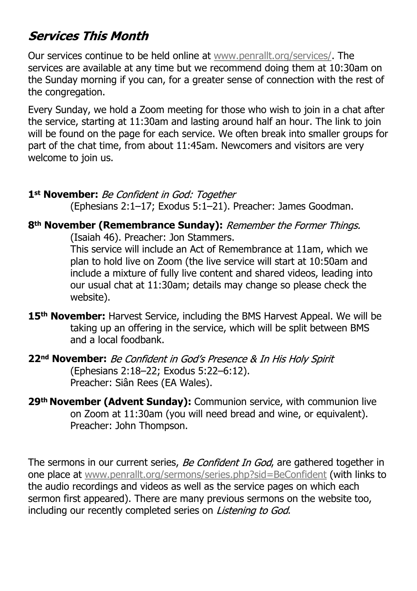#### **Services This Month**

Our services continue to be held online at [www.penrallt.org/services/.](https://www.penrallt.org/services/index.php) The services are available at any time but we recommend doing them at 10:30am on the Sunday morning if you can, for a greater sense of connection with the rest of the congregation.

Every Sunday, we hold a Zoom meeting for those who wish to join in a chat after the service, starting at 11:30am and lasting around half an hour. The link to join will be found on the page for each service. We often break into smaller groups for part of the chat time, from about 11:45am. Newcomers and visitors are very welcome to join us.

#### 1<sup>st</sup> November: Be Confident in God: Together

(Ephesians 2:1–17; Exodus 5:1–21). Preacher: James Goodman.

#### **8th November (Remembrance Sunday):**

(Isaiah 46). Preacher: Jon Stammers.

This service will include an Act of Remembrance at 11am, which we plan to hold live on Zoom (the live service will start at 10:50am and include a mixture of fully live content and shared videos, leading into our usual chat at 11:30am; details may change so please check the website).

- **15th November:** Harvest Service, including the BMS Harvest Appeal. We will be taking up an offering in the service, which will be split between BMS and a local foodbank.
- **22nd November:** (Ephesians 2:18–22; Exodus 5:22–6:12). Preacher: Siân Rees (EA Wales).
- **29th November (Advent Sunday):** Communion service, with communion live on Zoom at 11:30am (you will need bread and wine, or equivalent). Preacher: John Thompson.

The sermons in our current series, Be Confident In God, are gathered together in one place at [www.penrallt.org/sermons/series.php?sid=BeConfident](https://www.penrallt.org/sermons/series.php?sid=BeConfident) (with links to the audio recordings and videos as well as the service pages on which each sermon first appeared). There are many previous sermons on the website too, including our recently completed series on *Listening to God.*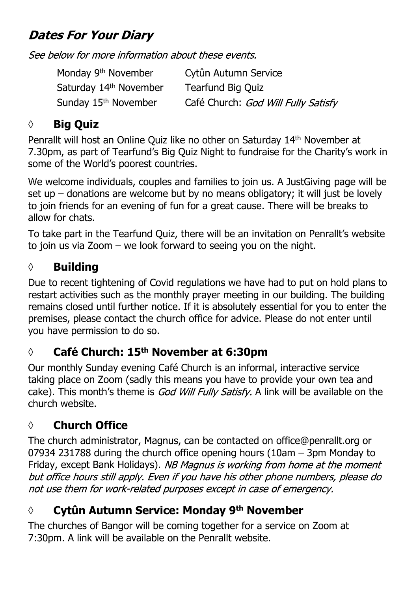## **Dates For Your Diary**

See below for more information about these events.

Monday 9th November Cytûn Autumn Service Saturday 14<sup>th</sup> November Tearfund Big Quiz Sunday 15<sup>th</sup> November Café Church: God Will Fully Satisfy

#### **◊ Big Quiz**

Penrallt will host an Online Quiz like no other on Saturday 14th November at 7.30pm, as part of Tearfund's Big Quiz Night to fundraise for the Charity's work in some of the World's poorest countries.

We welcome individuals, couples and families to join us. A JustGiving page will be set up – donations are welcome but by no means obligatory; it will just be lovely to join friends for an evening of fun for a great cause. There will be breaks to allow for chats.

To take part in the Tearfund Quiz, there will be an invitation on Penrallt's website to join us via Zoom – we look forward to seeing you on the night.

#### **◊ Building**

Due to recent tightening of Covid regulations we have had to put on hold plans to restart activities such as the monthly prayer meeting in our building. The building remains closed until further notice. If it is absolutely essential for you to enter the premises, please contact the church office for advice. Please do not enter until you have permission to do so.

#### **◊ Café Church: 15th November at 6:30pm**

Our monthly Sunday evening Café Church is an informal, interactive service taking place on Zoom (sadly this means you have to provide your own tea and cake). This month's theme is God Will Fully Satisfy. A link will be available on the church website.

### **◊ Church Office**

The church administrator, Magnus, can be contacted on office@penrallt.org or 07934 231788 during the church office opening hours (10am – 3pm Monday to Friday, except Bank Holidays). NB Magnus is working from home at the moment but office hours still apply. Even if you have his other phone numbers, please do not use them for work-related purposes except in case of emergency.

### **◊ Cytûn Autumn Service: Monday 9th November**

The churches of Bangor will be coming together for a service on Zoom at 7:30pm. A link will be available on the Penrallt website.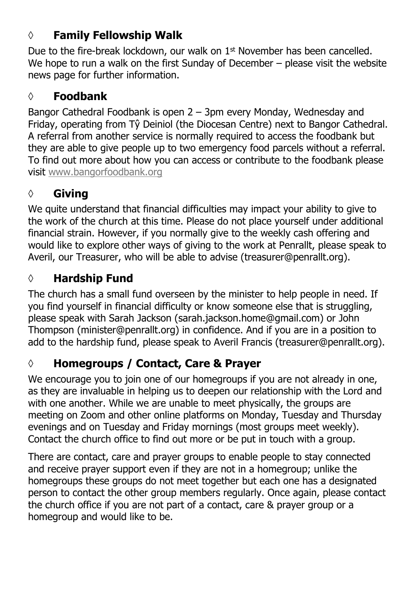#### **◊ Family Fellowship Walk**

Due to the fire-break lockdown, our walk on 1<sup>st</sup> November has been cancelled. We hope to run a walk on the first Sunday of December - please visit the website news page for further information.

#### **◊ Foodbank**

Bangor Cathedral Foodbank is open 2 – 3pm every Monday, Wednesday and Friday, operating from Tŷ Deiniol (the Diocesan Centre) next to Bangor Cathedral. A referral from another service is normally required to access the foodbank but they are able to give people up to two emergency food parcels without a referral. To find out more about how you can access or contribute to the foodbank please visit [www.bangorfoodbank.org](https://www.bangorfoodbank.org)

## **◊ Giving**

We quite understand that financial difficulties may impact your ability to give to the work of the church at this time. Please do not place yourself under additional financial strain. However, if you normally give to the weekly cash offering and would like to explore other ways of giving to the work at Penrallt, please speak to Averil, our Treasurer, who will be able to advise (treasurer@penrallt.org).

### **◊ Hardship Fund**

The church has a small fund overseen by the minister to help people in need. If you find yourself in financial difficulty or know someone else that is struggling, please speak with Sarah Jackson (sarah.jackson.home@gmail.com) or John Thompson (minister@penrallt.org) in confidence. And if you are in a position to add to the hardship fund, please speak to Averil Francis (treasurer@penrallt.org).

## **◊ Homegroups / Contact, Care & Prayer**

We encourage you to join one of our homegroups if you are not already in one, as they are invaluable in helping us to deepen our relationship with the Lord and with one another. While we are unable to meet physically, the groups are meeting on Zoom and other online platforms on Monday, Tuesday and Thursday evenings and on Tuesday and Friday mornings (most groups meet weekly). Contact the church office to find out more or be put in touch with a group.

There are contact, care and prayer groups to enable people to stay connected and receive prayer support even if they are not in a homegroup; unlike the homegroups these groups do not meet together but each one has a designated person to contact the other group members regularly. Once again, please contact the church office if you are not part of a contact, care & prayer group or a homegroup and would like to be.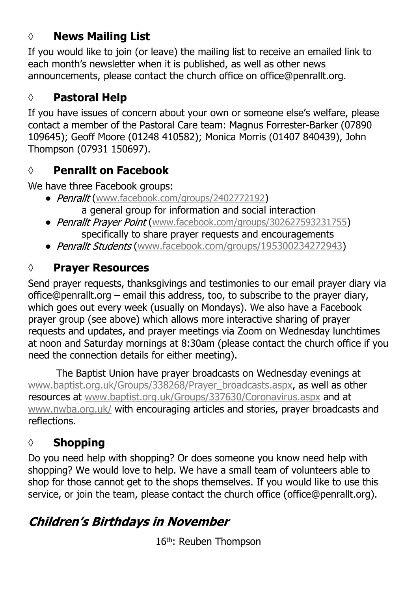#### **◊ News Mailing List**

If you would like to join (or leave) the mailing list to receive an emailed link to each month's newsletter when it is published, as well as other news announcements, please contact the church office on office@penrallt.org.

#### **◊ Pastoral Help**

If you have issues of concern about your own or someone else's welfare, please contact a member of the Pastoral Care team: Magnus Forrester-Barker (07890 109645); Geoff Moore (01248 410582); Monica Morris (01407 840439), John Thompson (07931 150697).

#### **◊ Penrallt on Facebook**

We have three Facebook groups:

- Penrallt ([www.facebook.com/groups/2402772192](https://www.facebook.com/groups/2402772192)) a general group for information and social interaction
- Penrallt Prayer Point ([www.facebook.com/groups/302627593231755](https://www.facebook.com/groups/302627593231755)) specifically to share prayer requests and encouragements
- Penrallt Students ([www.facebook.com/groups/195300234272943\)](https://www.facebook.com/groups/195300234272943)

#### **◊ Prayer Resources**

Send prayer requests, thanksgivings and testimonies to our email prayer diary via office@penrallt.org – email this address, too, to subscribe to the prayer diary, which goes out every week (usually on Mondays). We also have a Facebook prayer group (see above) which allows more interactive sharing of prayer requests and updates, and prayer meetings via Zoom on Wednesday lunchtimes at noon and Saturday mornings at 8:30am (please contact the church office if you need the connection details for either meeting).

The Baptist Union have prayer broadcasts on Wednesday evenings at [www.baptist.org.uk/Groups/338268/Prayer\\_broadcasts.aspx](https://www.baptist.org.uk/Groups/338268/Prayer_broadcasts.aspx), as well as other resources at [www.baptist.org.uk/Groups/337630/Coronavirus.aspx](https://www.baptist.org.uk/Groups/337630/Coronavirus.aspx) and at [www.nwba.org.uk/](http://www.nwba.org.uk/) with encouraging articles and stories, prayer broadcasts and reflections.

### **◊ Shopping**

Do you need help with shopping? Or does someone you know need help with shopping? We would love to help. We have a small team of volunteers able to shop for those cannot get to the shops themselves. If you would like to use this service, or join the team, please contact the church office (office@penrallt.org).

## **Children's Birthdays in November**

16th: Reuben Thompson